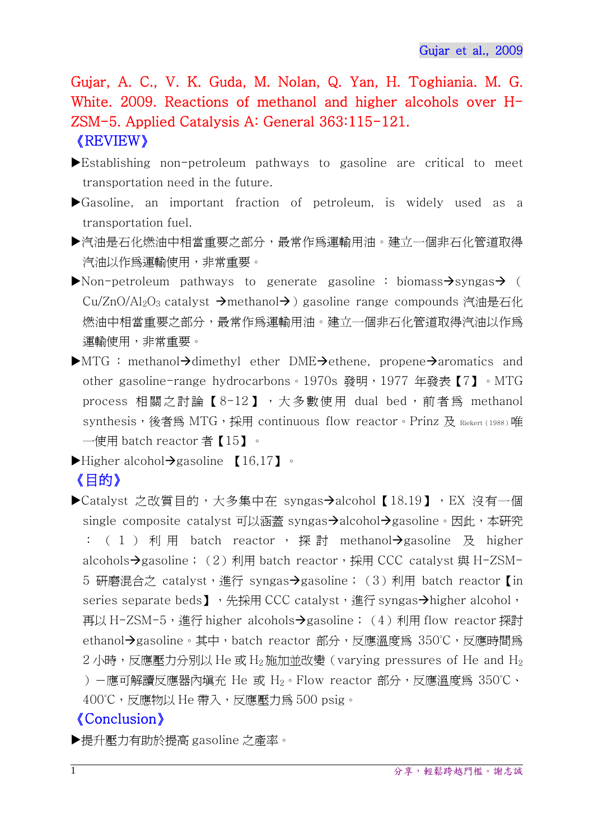Gujar, A. C., V. K. Guda, M. Nolan, Q. Yan, H. Toghiania. M. G. White. 2009. Reactions of methanol and higher alcohols over H-ZSM-5. Applied Catalysis A: General 363:115-121. 《REVIEW》

- Establishing non-petroleum pathways to gasoline are critical to meet transportation need in the future.
- Gasoline, an important fraction of petroleum, is widely used as a transportation fuel.
- 汽油是石化燃油中相當重要之部分,最常作為運輸用油。建立一個非石化管道取得 汽油以作為運輸使用,非常重要。
- $\blacktriangleright$  Non-petroleum pathways to generate gasoline : biomass $\rightarrow$ syngas $\rightarrow$  ( Cu/ZnO/Al<sub>2</sub>O<sub>3</sub> catalyst  $\rightarrow$ methanol $\rightarrow$ ) gasoline range compounds 汽油是石化 燃油中相當重要之部分,最常作為運輸用油。建立一個非石化管道取得汽油以作為 運輸使用,非常重要。
- $\blacktriangleright$ MTG : methanol $\rightarrow$ dimethyl ether DME $\rightarrow$ ethene, propene $\rightarrow$ aromatics and other gasoline-range hydrocarbons。1970s 發明,1977 年發表【7】。MTG process 相關之討論【8-12】,大多數使用 dual bed, 前者為 methanol synthesis, 後者為 MTG, 採用 continuous flow reactor。Prinz 及 Riekert (1988)唯 一使用 batch reactor 者【15】。
- $\blacktriangleright$  Higher alcohol $\rightarrow$ gasoline [16,17].

## 《目的》

▶Catalyst 之改質目的,大多集中在 syngas→alcohol【18.19】,EX 沒有一個 single composite catalyst 可以涵蓋 syngas-alcohol->gasoline。因此,本研究 :  $(1)$  利用 batch reactor, 探討 methanol $\rightarrow$ gasoline 及 higher alcohols $\rightarrow$ gasoline; (2) 利用 batch reactor,採用 CCC catalyst 與 H-ZSM-5 研磨混合之 catalyst,進行 syngas- $\rightarrow$ gasoline;(3)利用 batch reactor 【in series separate beds】,先採用 CCC catalyst,進行 syngas->higher alcohol, 再以 H-ZSM-5,進行 higher alcohols→gasoline;(4)利用 flow reactor 探討 ethanol→gasoline。其中, batch reactor 部分,反應溫度為 350℃,反應時間為  $2 \text{ }\Lambda$ 時,反應壓力分別以 He 或 H<sub>2</sub> 施加並改變 (varying pressures of He and H<sub>2</sub> )-應可解讀反應器內填充 He 或 H2。Flow reactor 部分,反應溫度為 350°C、 400℃,反應物以 He 帶入,反應壓力爲 500 psig。

## 《Conclusion》

提升壓力有助於提高 gasoline 之產率。